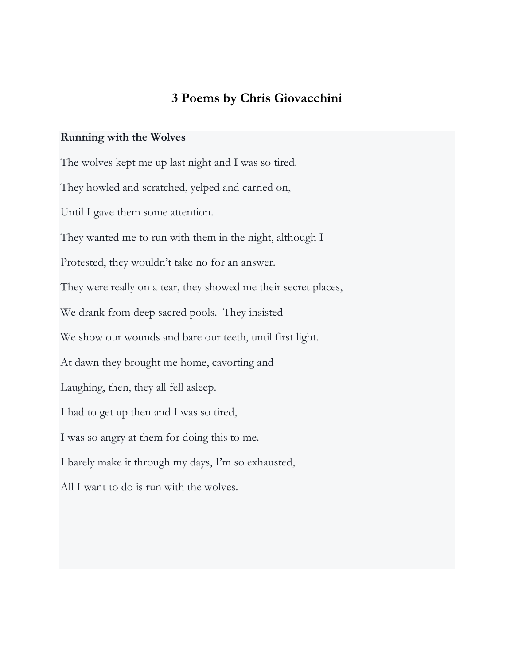## **3 Poems by Chris Giovacchini**

## **Running with the Wolves**

The wolves kept me up last night and I was so tired. They howled and scratched, yelped and carried on, Until I gave them some attention. They wanted me to run with them in the night, although I Protested, they wouldn't take no for an answer. They were really on a tear, they showed me their secret places, We drank from deep sacred pools. They insisted We show our wounds and bare our teeth, until first light. At dawn they brought me home, cavorting and Laughing, then, they all fell asleep. I had to get up then and I was so tired, I was so angry at them for doing this to me. I barely make it through my days, I'm so exhausted, All I want to do is run with the wolves.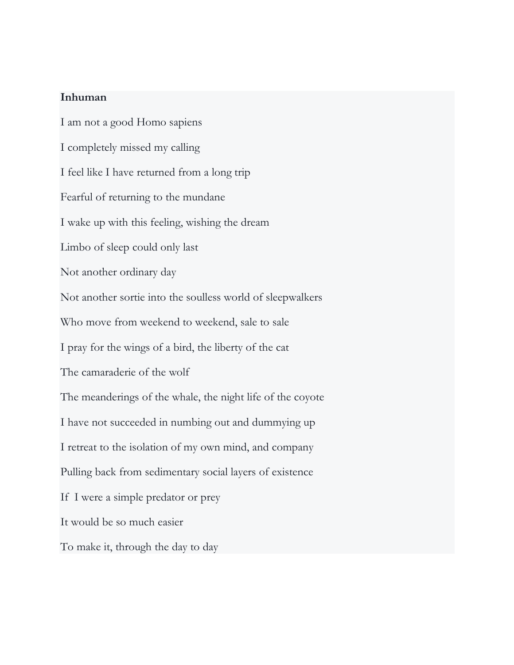## **Inhuman**

I am not a good Homo sapiens I completely missed my calling I feel like I have returned from a long trip Fearful of returning to the mundane I wake up with this feeling, wishing the dream Limbo of sleep could only last Not another ordinary day Not another sortie into the soulless world of sleepwalkers Who move from weekend to weekend, sale to sale I pray for the wings of a bird, the liberty of the cat The camaraderie of the wolf The meanderings of the whale, the night life of the coyote I have not succeeded in numbing out and dummying up I retreat to the isolation of my own mind, and company Pulling back from sedimentary social layers of existence If I were a simple predator or prey It would be so much easier To make it, through the day to day